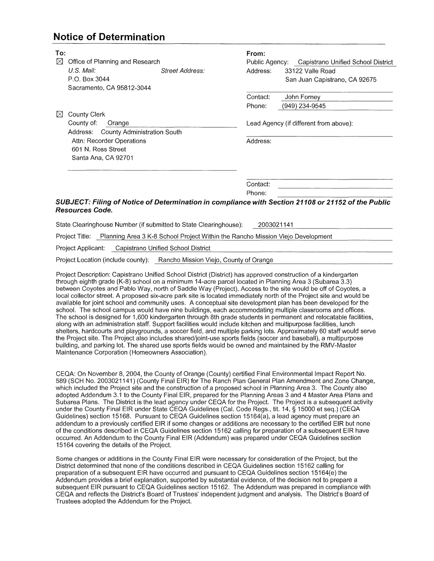## **Notice of Determination**

| To:       |                                         |                 | From:          |                                                                                                    |
|-----------|-----------------------------------------|-----------------|----------------|----------------------------------------------------------------------------------------------------|
| ⊠         | Office of Planning and Research         |                 | Public Agency: | Capistrano Unified School District                                                                 |
|           | U.S. Mail:                              | Street Address: | Address:       | 33122 Valle Road                                                                                   |
|           | P.O. Box 3044                           |                 |                | San Juan Capistrano, CA 92675                                                                      |
|           | Sacramento, CA 95812-3044               |                 |                |                                                                                                    |
|           |                                         |                 | Contact:       | John Forney                                                                                        |
|           |                                         |                 | Phone:         | (949) 234-9545                                                                                     |
| $\bowtie$ | County Clerk                            |                 |                |                                                                                                    |
|           | County of:<br>Orange                    |                 |                | Lead Agency (if different from above):                                                             |
|           | County Administration South<br>Address: |                 |                |                                                                                                    |
|           | Attn: Recorder Operations               |                 | Address:       |                                                                                                    |
|           | 601 N. Ross Street                      |                 |                |                                                                                                    |
|           | Santa Ana, CA 92701                     |                 |                |                                                                                                    |
|           |                                         |                 |                |                                                                                                    |
|           |                                         |                 |                |                                                                                                    |
|           |                                         |                 | Contact:       |                                                                                                    |
|           |                                         |                 | Phone:         |                                                                                                    |
|           |                                         |                 |                | SUBJECT: Filing of Notice of Determination in compliance with Section 21108 or 21152 of the Public |
|           | <b>Resources Code.</b>                  |                 |                |                                                                                                    |

State Clearinghouse Number (if submitted to State Clearinghouse): 2003021141

Project Title: Planning Area 3 K-8 School Project Within the Rancho Mission Viejo Development

Project Applicant: Capistrano Unified School District

Project Location (include county): Rancho Mission Viejo, County of Orange

Project Description: Capistrano Unified School District (District) has approved construction of a kindergarten through eighth grade (K-8) school on a minimum 14-acre parcel located in Planning Area 3 (Subarea 3.3) between Coyotes and Pablo Way, north of Saddle Way (Project). Access to the site would be off of Coyotes, a local collector street. A proposed six-acre park site is located immediately north of the Project site and would be available for joint school and community uses. A conceptual site development plan has been developed for the school. The school campus would have nine buildings, each accommodating multiple classrooms and offices. The school is designed for 1,600 kindergarten through 8th grade students in permanent and relocatable facilities, along with an administration staff. Support facilities would include kitchen and multipurpose facilities, lunch shelters, hardcourts and playgrounds, a soccer field, and multiple parking lots. Approximately 60 staff would serve the Project site. The Project also includes shared/joint-use sports fields (soccer and baseball), a multipurpose building, and parking lot. The shared use sports fields would be owned and maintained by the RMV-Master Maintenance Corporation (Homeowners Association).

CEOA: On November 8, 2004, the County of Orange (County) certified Final Environmental Impact Report No. 589 (SCH No. 2003021141) (County Final EIR) for The Ranch Plan General Plan Amendment and Zone Change, which included the Project site and the construction of a proposed school in Planning Area 3. The County also adopted Addendum 3.1 to the County Final EIR, prepared for the Planning Areas 3 and 4 Master Area Plans and Subarea Plans. The District is the lead agency under CEQA for the Project. The Project is a subsequent activity under the County Final EIR under State CEOA Guidelines (Cal. Code Regs., tit. 14, § 15000 et seq.) (CEOA Guidelines) section 15168. Pursuant to CEOA Guidelines section 15164(a), a lead agency must prepare an addendum to a previously certified EIR if some changes or additions are necessary to the certified EIR but none of the conditions described in CEQA Guidelines section 15162 calling for preparation of a subsequent EIR have occurred. An Addendum to the County Final EIR (Addendum) was prepared under CEOA Guidelines section 15164 covering the details of the Project.

Some changes or additions in the County Final EIR were necessary for consideration of the Project, but the District determined that none of the conditions described in CEQA Guidelines section 15162 calling for preparation of a subsequent EIR have occurred and pursuant to CEQA Guidelines section 15164(e) the Addendum provides a brief explanation, supported by substantial evidence, of the decision not to prepare a subsequent EIR pursuant to CEQA Guidelines section 15162. The Addendum was prepared in compliance with CEQA and reflects the District's Board of Trustees' independent judgment and analysis. The District's Board of Trustees adopted the Addendum for the Project.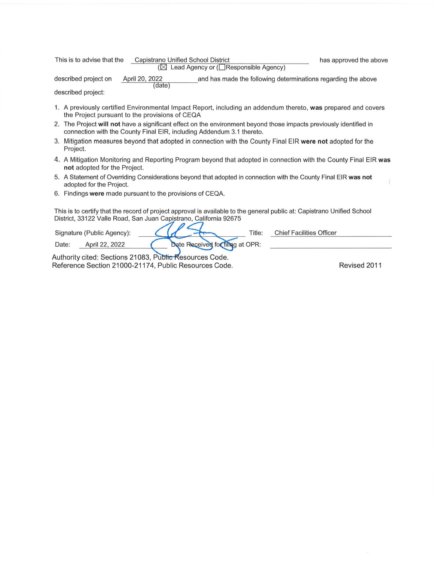| This is to advise that the |                          | Capistrano Unified School District<br>$(\boxtimes$ Lead Agency or ( $\Box$ Responsible Agency) | has approved the above |
|----------------------------|--------------------------|------------------------------------------------------------------------------------------------|------------------------|
| described project on       | April 20, 2022<br>(date) | and has made the following determinations regarding the above                                  |                        |

described project:

- 1. A previously certified Environmental Impact Report, including an addendum thereto, **was** prepared and covers the Project pursuant to the provisions of CEQA
- 2. The Project **will not** have a significant effect on the environment beyond those impacts previously identified in connection with the County Final EIR, including Addendum 3.1 thereto.
- 3. Mitigation measures beyond that adopted in connection with the County Final EIR **were not** adopted for the Project.
- 4. A Mitigation Monitoring and Reporting Program beyond that adopted in connection with the County Final EIR **was not** adopted for the Project.
- 5. A Statement of Overriding Considerations beyond that adopted in connection with the County Final EIR **was not**  adopted for the Project.
- 6. Findings **were** made pursuant to the provisions of CEQA.

This is to certify that the record of project approval is available to the general public at: Capistrano Unified School District, 33122 Valle Road, San Juan Capistrano, California 92675

|       | Signature (Public Agency): |                                                        | Title: | <b>Chief Facilities Officer</b> |  |
|-------|----------------------------|--------------------------------------------------------|--------|---------------------------------|--|
| Date: | April 22, 2022             | Date Received for filing at OPR:                       |        |                                 |  |
|       |                            | Authority offered Continue 04000 D. His Floor was Code |        |                                 |  |

Authority cited: Sections 21083, Public Resources Code. Reference Section 21000-21174, Public Resources Code. The Contract Revised 2011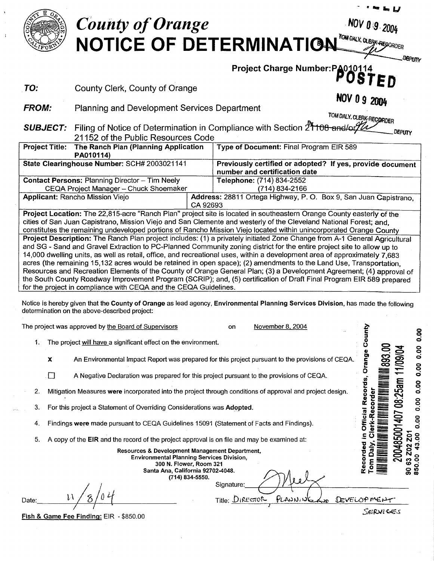

4. Findings **were** made pursuant to CEQA Guidelines 15091 (Statement of Facts and Findings).

5. A copy of the **EIR** and the record of the project approval is on file and may be examined at:

**Resources** & **Development Management Department, Environmental Planning Services Division, 300 N. Flower, Room 321 Santa Ana, California 92702-4048. (714) 834-5550.**  Signature:

 $Title: DiRecm$ 

i\ / <sup>0</sup> */0 zf* Date: \_\_\_\_\_ <sup>1</sup>  $1/8/04$ 

Fish & Game Fee Finding: EIR - \$850.00

SERVIGES

Dalv. Recorded 

DEVELOPMENT

**1485**<br>02 20<br>43.04 **c**<br>**c**<br>**c**<br>**c**<br>**c**<br>**c**<br>**c**<br>**c**<br>**c** (0 ci **0 U) O> CIO**